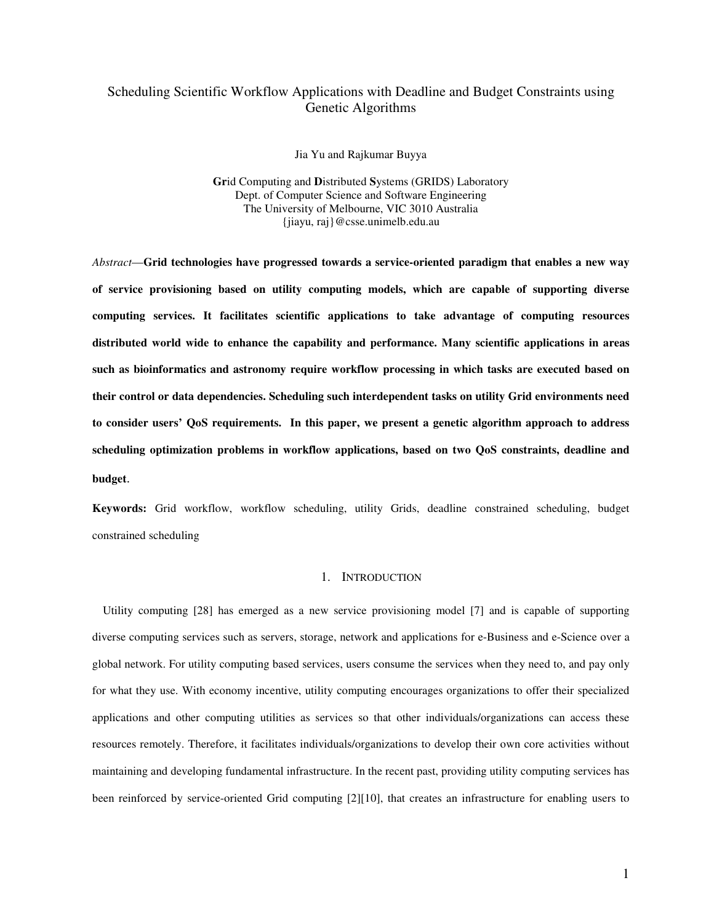# Scheduling Scientific Workflow Applications with Deadline and Budget Constraints using Genetic Algorithms

Jia Yu and Rajkumar Buyya

**Gr**id Computing and **D**istributed **S**ystems (GRIDS) Laboratory Dept. of Computer Science and Software Engineering The University of Melbourne, VIC 3010 Australia {jiayu, raj}@csse.unimelb.edu.au

*Abstract*—**Grid technologies have progressed towards a service-oriented paradigm that enables a new way of service provisioning based on utility computing models, which are capable of supporting diverse computing services. It facilitates scientific applications to take advantage of computing resources distributed world wide to enhance the capability and performance. Many scientific applications in areas such as bioinformatics and astronomy require workflow processing in which tasks are executed based on their control or data dependencies. Scheduling such interdependent tasks on utility Grid environments need to consider users' QoS requirements. In this paper, we present a genetic algorithm approach to address scheduling optimization problems in workflow applications, based on two QoS constraints, deadline and budget**.

**Keywords:** Grid workflow, workflow scheduling, utility Grids, deadline constrained scheduling, budget constrained scheduling

# 1. INTRODUCTION

Utility computing [28] has emerged as a new service provisioning model [7] and is capable of supporting diverse computing services such as servers, storage, network and applications for e-Business and e-Science over a global network. For utility computing based services, users consume the services when they need to, and pay only for what they use. With economy incentive, utility computing encourages organizations to offer their specialized applications and other computing utilities as services so that other individuals/organizations can access these resources remotely. Therefore, it facilitates individuals/organizations to develop their own core activities without maintaining and developing fundamental infrastructure. In the recent past, providing utility computing services has been reinforced by service-oriented Grid computing [2][10], that creates an infrastructure for enabling users to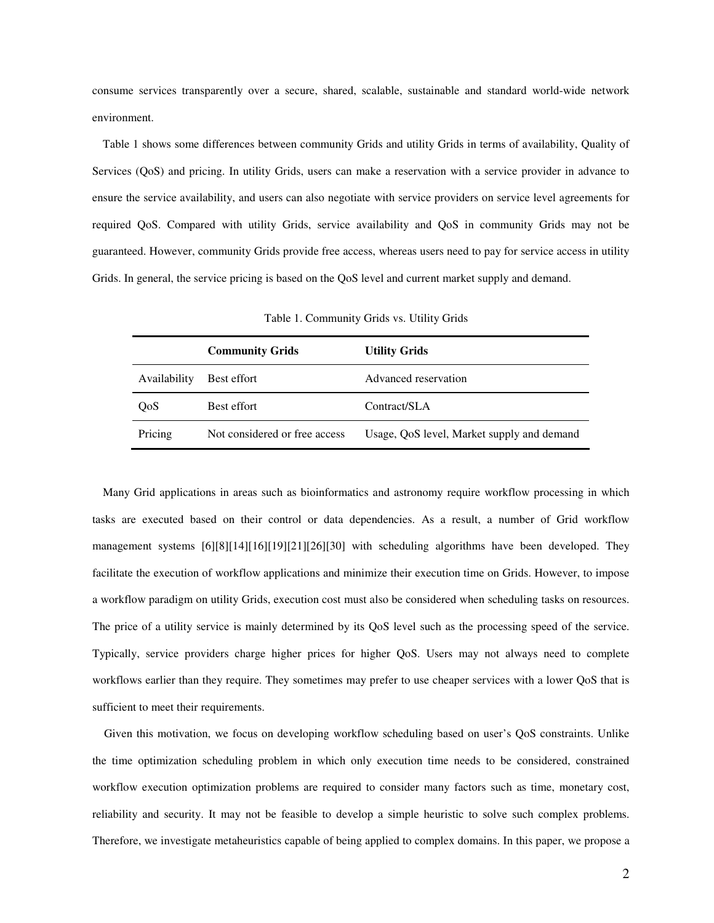consume services transparently over a secure, shared, scalable, sustainable and standard world-wide network environment.

Table 1 shows some differences between community Grids and utility Grids in terms of availability, Quality of Services (QoS) and pricing. In utility Grids, users can make a reservation with a service provider in advance to ensure the service availability, and users can also negotiate with service providers on service level agreements for required QoS. Compared with utility Grids, service availability and QoS in community Grids may not be guaranteed. However, community Grids provide free access, whereas users need to pay for service access in utility Grids. In general, the service pricing is based on the QoS level and current market supply and demand.

|              | <b>Community Grids</b>        | <b>Utility Grids</b>                       |
|--------------|-------------------------------|--------------------------------------------|
| Availability | Best effort                   | Advanced reservation                       |
| QoS          | Best effort                   | Contract/SLA                               |
| Pricing      | Not considered or free access | Usage, QoS level, Market supply and demand |

Table 1. Community Grids vs. Utility Grids

Many Grid applications in areas such as bioinformatics and astronomy require workflow processing in which tasks are executed based on their control or data dependencies. As a result, a number of Grid workflow management systems [6][8][14][16][19][21][26][30] with scheduling algorithms have been developed. They facilitate the execution of workflow applications and minimize their execution time on Grids. However, to impose a workflow paradigm on utility Grids, execution cost must also be considered when scheduling tasks on resources. The price of a utility service is mainly determined by its QoS level such as the processing speed of the service. Typically, service providers charge higher prices for higher QoS. Users may not always need to complete workflows earlier than they require. They sometimes may prefer to use cheaper services with a lower QoS that is sufficient to meet their requirements.

Given this motivation, we focus on developing workflow scheduling based on user's QoS constraints. Unlike the time optimization scheduling problem in which only execution time needs to be considered, constrained workflow execution optimization problems are required to consider many factors such as time, monetary cost, reliability and security. It may not be feasible to develop a simple heuristic to solve such complex problems. Therefore, we investigate metaheuristics capable of being applied to complex domains. In this paper, we propose a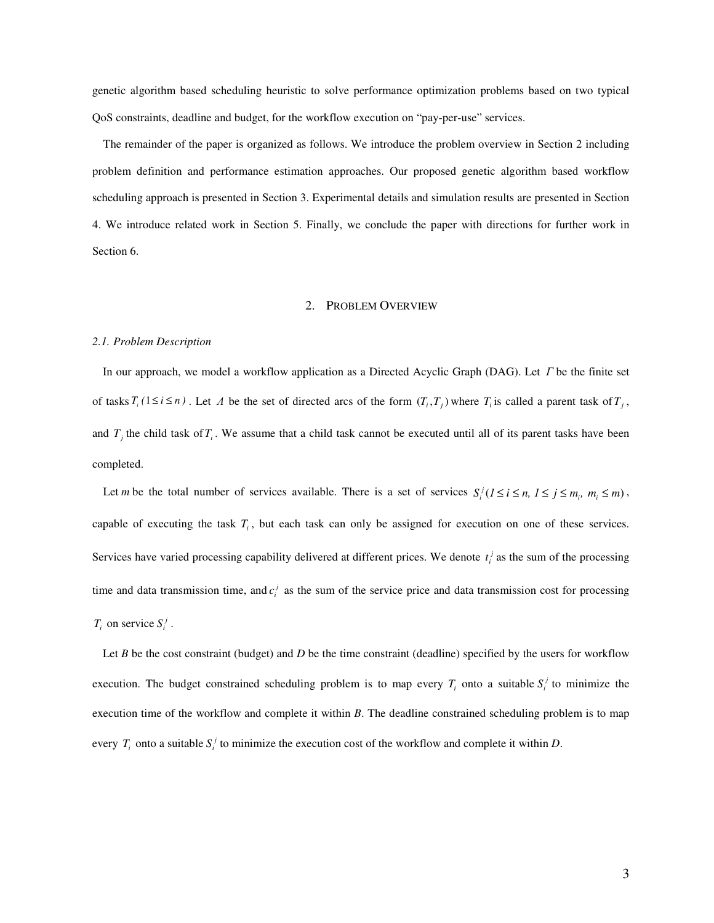genetic algorithm based scheduling heuristic to solve performance optimization problems based on two typical QoS constraints, deadline and budget, for the workflow execution on "pay-per-use" services.

The remainder of the paper is organized as follows. We introduce the problem overview in Section 2 including problem definition and performance estimation approaches. Our proposed genetic algorithm based workflow scheduling approach is presented in Section 3. Experimental details and simulation results are presented in Section 4. We introduce related work in Section 5. Finally, we conclude the paper with directions for further work in Section 6.

# 2. PROBLEM OVERVIEW

#### *2.1. Problem Description*

In our approach, we model a workflow application as a Directed Acyclic Graph (DAG). Let  $\Gamma$  be the finite set of tasks  $T_i$  ( $1 \le i \le n$ ). Let  $\Lambda$  be the set of directed arcs of the form  $(T_i, T_j)$  where  $T_i$  is called a parent task of  $T_j$ , and  $T_j$  the child task of  $T_i$ . We assume that a child task cannot be executed until all of its parent tasks have been completed.

Let *m* be the total number of services available. There is a set of services  $S_i^j$  ( $1 \le i \le n$ ,  $1 \le j \le m_i$ ,  $m_i \le m$ ), capable of executing the task *T<sup>i</sup>* , but each task can only be assigned for execution on one of these services. Services have varied processing capability delivered at different prices. We denote  $t_i^j$  as the sum of the processing time and data transmission time, and  $c_i^j$  as the sum of the service price and data transmission cost for processing  $T_i$  on service  $S_i^j$ .

Let *B* be the cost constraint (budget) and *D* be the time constraint (deadline) specified by the users for workflow execution. The budget constrained scheduling problem is to map every  $T_i$  onto a suitable  $S_i^j$  to minimize the execution time of the workflow and complete it within *B*. The deadline constrained scheduling problem is to map every  $T_i$  onto a suitable  $S_i^j$  to minimize the execution cost of the workflow and complete it within *D*.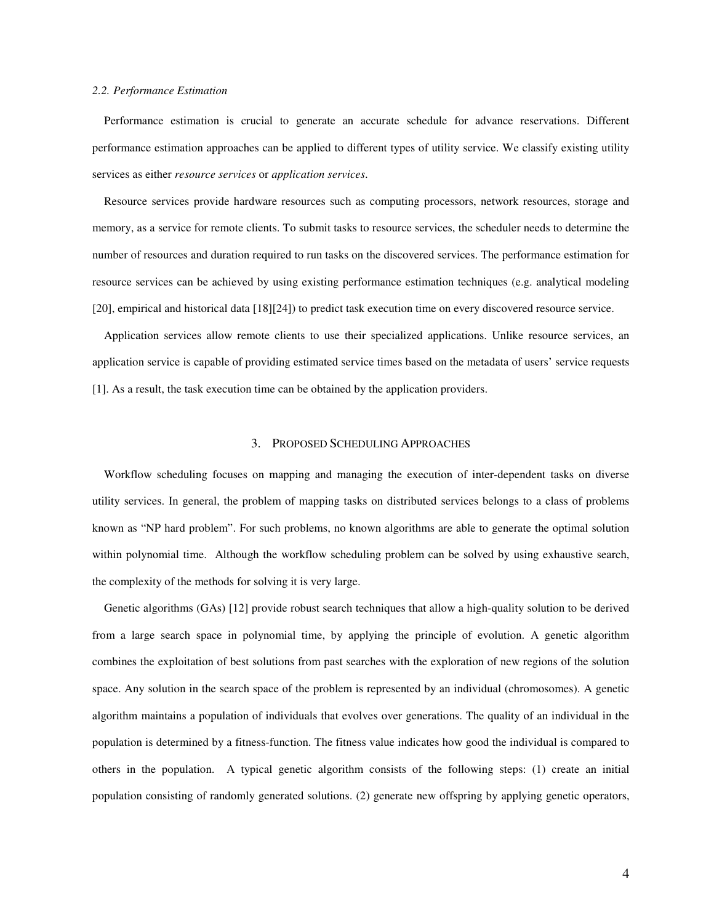### *2.2. Performance Estimation*

Performance estimation is crucial to generate an accurate schedule for advance reservations. Different performance estimation approaches can be applied to different types of utility service. We classify existing utility services as either *resource services* or *application services*.

Resource services provide hardware resources such as computing processors, network resources, storage and memory, as a service for remote clients. To submit tasks to resource services, the scheduler needs to determine the number of resources and duration required to run tasks on the discovered services. The performance estimation for resource services can be achieved by using existing performance estimation techniques (e.g. analytical modeling [20], empirical and historical data [18][24]) to predict task execution time on every discovered resource service.

Application services allow remote clients to use their specialized applications. Unlike resource services, an application service is capable of providing estimated service times based on the metadata of users' service requests [1]. As a result, the task execution time can be obtained by the application providers.

# 3. PROPOSED SCHEDULING APPROACHES

Workflow scheduling focuses on mapping and managing the execution of inter-dependent tasks on diverse utility services. In general, the problem of mapping tasks on distributed services belongs to a class of problems known as "NP hard problem". For such problems, no known algorithms are able to generate the optimal solution within polynomial time. Although the workflow scheduling problem can be solved by using exhaustive search, the complexity of the methods for solving it is very large.

Genetic algorithms (GAs) [12] provide robust search techniques that allow a high-quality solution to be derived from a large search space in polynomial time, by applying the principle of evolution. A genetic algorithm combines the exploitation of best solutions from past searches with the exploration of new regions of the solution space. Any solution in the search space of the problem is represented by an individual (chromosomes). A genetic algorithm maintains a population of individuals that evolves over generations. The quality of an individual in the population is determined by a fitness-function. The fitness value indicates how good the individual is compared to others in the population. A typical genetic algorithm consists of the following steps: (1) create an initial population consisting of randomly generated solutions. (2) generate new offspring by applying genetic operators,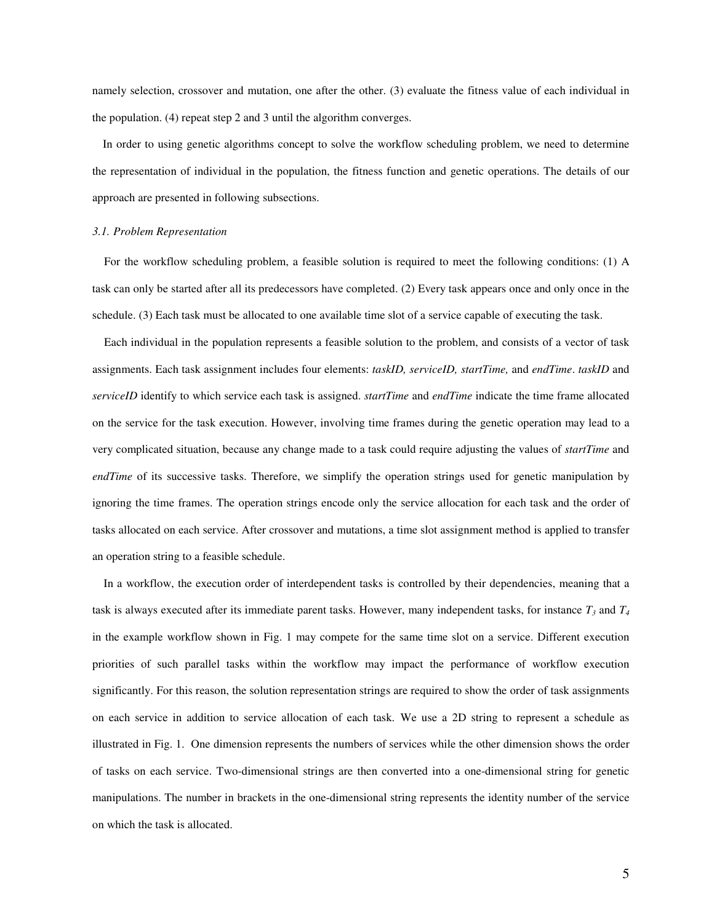namely selection, crossover and mutation, one after the other. (3) evaluate the fitness value of each individual in the population. (4) repeat step 2 and 3 until the algorithm converges.

In order to using genetic algorithms concept to solve the workflow scheduling problem, we need to determine the representation of individual in the population, the fitness function and genetic operations. The details of our approach are presented in following subsections.

### *3.1. Problem Representation*

For the workflow scheduling problem, a feasible solution is required to meet the following conditions: (1) A task can only be started after all its predecessors have completed. (2) Every task appears once and only once in the schedule. (3) Each task must be allocated to one available time slot of a service capable of executing the task.

Each individual in the population represents a feasible solution to the problem, and consists of a vector of task assignments. Each task assignment includes four elements: *taskID, serviceID, startTime,* and *endTime*. *taskID* and *serviceID* identify to which service each task is assigned. *startTime* and *endTime* indicate the time frame allocated on the service for the task execution. However, involving time frames during the genetic operation may lead to a very complicated situation, because any change made to a task could require adjusting the values of *startTime* and *endTime* of its successive tasks. Therefore, we simplify the operation strings used for genetic manipulation by ignoring the time frames. The operation strings encode only the service allocation for each task and the order of tasks allocated on each service. After crossover and mutations, a time slot assignment method is applied to transfer an operation string to a feasible schedule.

In a workflow, the execution order of interdependent tasks is controlled by their dependencies, meaning that a task is always executed after its immediate parent tasks. However, many independent tasks, for instance  $T_3$  and  $T_4$ in the example workflow shown in Fig. 1 may compete for the same time slot on a service. Different execution priorities of such parallel tasks within the workflow may impact the performance of workflow execution significantly. For this reason, the solution representation strings are required to show the order of task assignments on each service in addition to service allocation of each task. We use a 2D string to represent a schedule as illustrated in Fig. 1. One dimension represents the numbers of services while the other dimension shows the order of tasks on each service. Two-dimensional strings are then converted into a one-dimensional string for genetic manipulations. The number in brackets in the one-dimensional string represents the identity number of the service on which the task is allocated.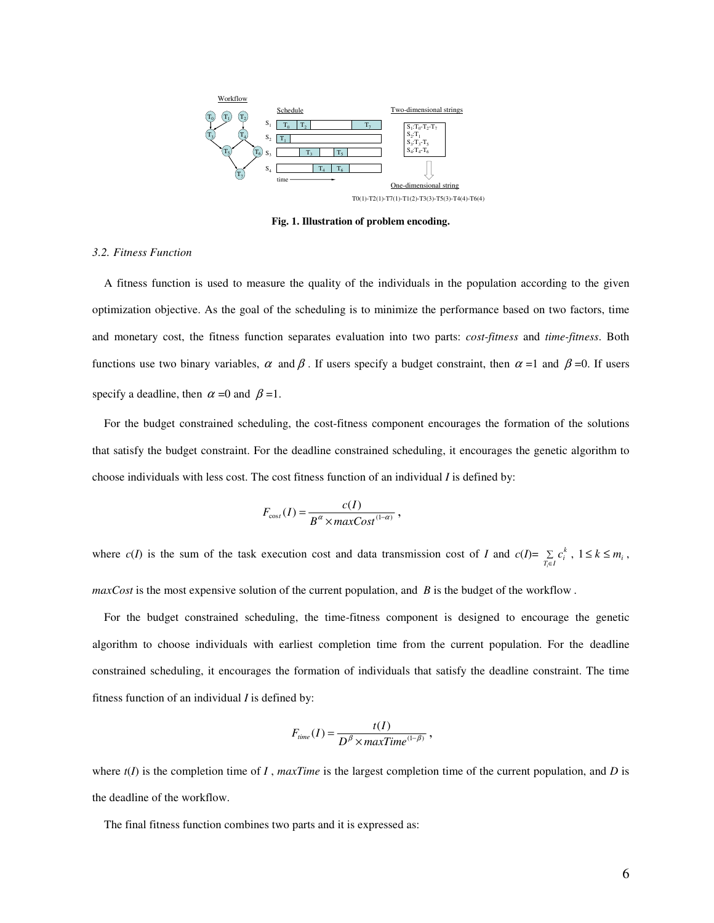

**Fig. 1. Illustration of problem encoding.**

### *3.2. Fitness Function*

A fitness function is used to measure the quality of the individuals in the population according to the given optimization objective. As the goal of the scheduling is to minimize the performance based on two factors, time and monetary cost, the fitness function separates evaluation into two parts: *cost-fitness* and *time-fitness*. Both functions use two binary variables,  $\alpha$  and  $\beta$ . If users specify a budget constraint, then  $\alpha =1$  and  $\beta =0$ . If users specify a deadline, then  $\alpha = 0$  and  $\beta = 1$ .

For the budget constrained scheduling, the cost-fitness component encourages the formation of the solutions that satisfy the budget constraint. For the deadline constrained scheduling, it encourages the genetic algorithm to choose individuals with less cost. The cost fitness function of an individual *I* is defined by:

$$
F_{\cos t}(I) = \frac{c(I)}{B^{\alpha} \times maxCost^{(1-\alpha)}}\,,
$$

where *c*(*I*) is the sum of the task execution cost and data transmission cost of *I* and *c*(*I*)=  $\sum_{T_i \in I}$  $\sum_{i \in I} c_i^k$ ,  $1 \le k \le m_i$ , *maxCost* is the most expensive solution of the current population, and *B* is the budget of the workflow .

For the budget constrained scheduling, the time-fitness component is designed to encourage the genetic algorithm to choose individuals with earliest completion time from the current population. For the deadline constrained scheduling, it encourages the formation of individuals that satisfy the deadline constraint. The time fitness function of an individual *I* is defined by:

$$
F_{time}(I) = \frac{t(I)}{D^{\beta} \times maxTime^{(1-\beta)}}\,,
$$

where  $t(I)$  is the completion time of *I*, *maxTime* is the largest completion time of the current population, and *D* is the deadline of the workflow.

The final fitness function combines two parts and it is expressed as: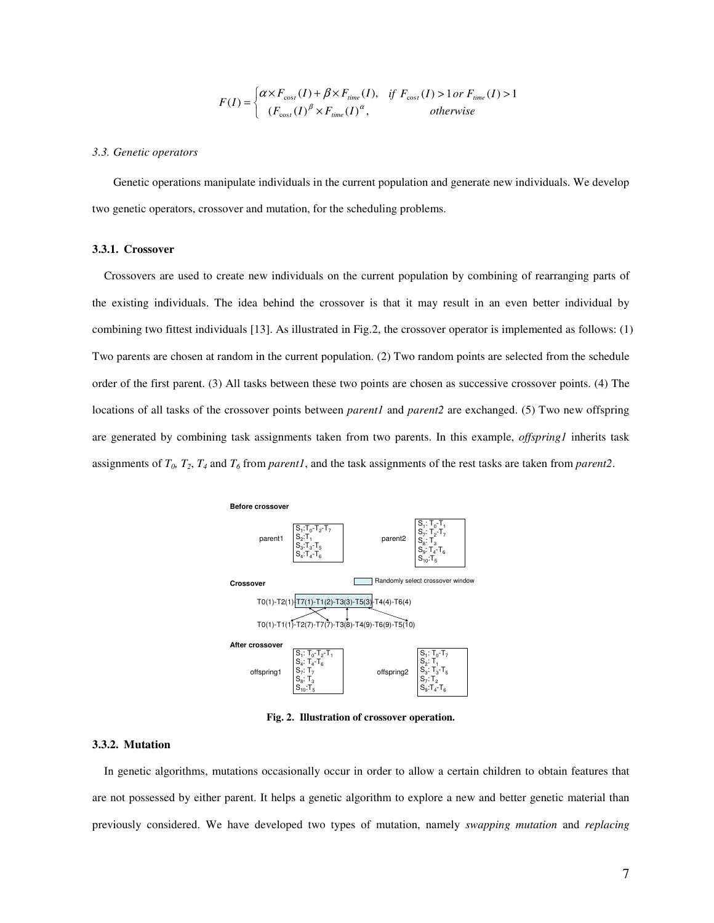$$
F(I) = \begin{cases} \alpha \times F_{\text{cos}t}(I) + \beta \times F_{\text{time}}(I), & \text{if } F_{\text{cos}t}(I) > 1 \text{ or } F_{\text{time}}(I) > 1\\ (F_{\text{cos}t}(I)^{\beta} \times F_{\text{time}}(I)^{\alpha}, & \text{otherwise} \end{cases}
$$

#### *3.3. Genetic operators*

Genetic operations manipulate individuals in the current population and generate new individuals. We develop two genetic operators, crossover and mutation, for the scheduling problems.

### **3.3.1. Crossover**

Crossovers are used to create new individuals on the current population by combining of rearranging parts of the existing individuals. The idea behind the crossover is that it may result in an even better individual by combining two fittest individuals [13]. As illustrated in Fig.2, the crossover operator is implemented as follows: (1) Two parents are chosen at random in the current population. (2) Two random points are selected from the schedule order of the first parent. (3) All tasks between these two points are chosen as successive crossover points. (4) The locations of all tasks of the crossover points between *parent1* and *parent2* are exchanged. (5) Two new offspring are generated by combining task assignments taken from two parents. In this example, *offspring1* inherits task assignments of *T0, T2*, *T<sup>4</sup>* and *T<sup>6</sup>* from *parent1*, and the task assignments of the rest tasks are taken from *parent2*.



**Fig. 2. Illustration of crossover operation.**

# **3.3.2. Mutation**

In genetic algorithms, mutations occasionally occur in order to allow a certain children to obtain features that are not possessed by either parent. It helps a genetic algorithm to explore a new and better genetic material than previously considered. We have developed two types of mutation, namely *swapping mutation* and *replacing*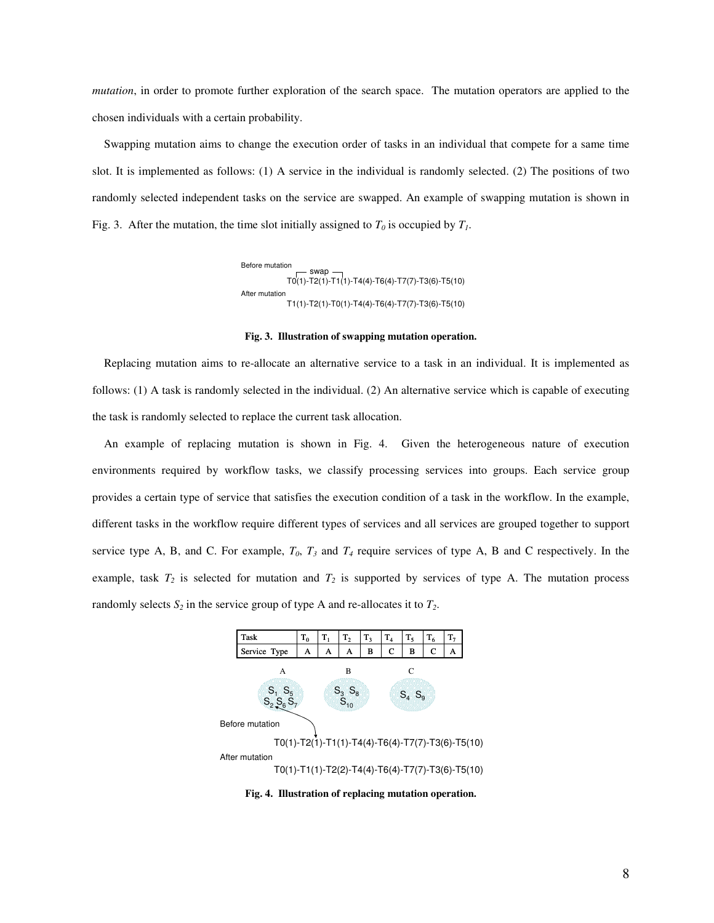*mutation*, in order to promote further exploration of the search space. The mutation operators are applied to the chosen individuals with a certain probability.

Swapping mutation aims to change the execution order of tasks in an individual that compete for a same time slot. It is implemented as follows: (1) A service in the individual is randomly selected. (2) The positions of two randomly selected independent tasks on the service are swapped. An example of swapping mutation is shown in Fig. 3. After the mutation, the time slot initially assigned to  $T_0$  is occupied by  $T_1$ .

> T0(1)-T2(1)-T1(1)-T4(4)-T6(4)-T7(7)-T3(6)-T5(10) swap T1(1)-T2(1)-T0(1)-T4(4)-T6(4)-T7(7)-T3(6)-T5(10) Before mutation After mutation

#### **Fig. 3. Illustration of swapping mutation operation.**

Replacing mutation aims to re-allocate an alternative service to a task in an individual. It is implemented as follows: (1) A task is randomly selected in the individual. (2) An alternative service which is capable of executing the task is randomly selected to replace the current task allocation.

An example of replacing mutation is shown in Fig. 4. Given the heterogeneous nature of execution environments required by workflow tasks, we classify processing services into groups. Each service group provides a certain type of service that satisfies the execution condition of a task in the workflow. In the example, different tasks in the workflow require different types of services and all services are grouped together to support service type A, B, and C. For example,  $T_0$ ,  $T_3$  and  $T_4$  require services of type A, B and C respectively. In the example, task  $T_2$  is selected for mutation and  $T_2$  is supported by services of type A. The mutation process randomly selects  $S_2$  in the service group of type A and re-allocates it to  $T_2$ .



**Fig. 4. Illustration of replacing mutation operation.**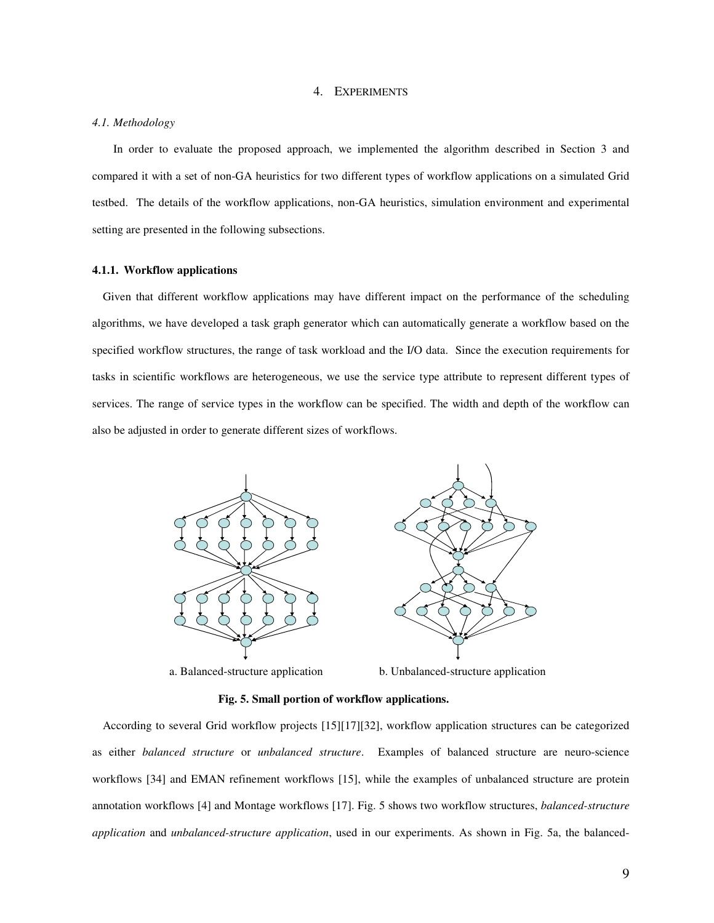### 4. EXPERIMENTS

### *4.1. Methodology*

In order to evaluate the proposed approach, we implemented the algorithm described in Section 3 and compared it with a set of non-GA heuristics for two different types of workflow applications on a simulated Grid testbed. The details of the workflow applications, non-GA heuristics, simulation environment and experimental setting are presented in the following subsections.

#### **4.1.1. Workflow applications**

Given that different workflow applications may have different impact on the performance of the scheduling algorithms, we have developed a task graph generator which can automatically generate a workflow based on the specified workflow structures, the range of task workload and the I/O data. Since the execution requirements for tasks in scientific workflows are heterogeneous, we use the service type attribute to represent different types of services. The range of service types in the workflow can be specified. The width and depth of the workflow can also be adjusted in order to generate different sizes of workflows.



a. Balanced-structure application b. Unbalanced-structure application

# **Fig. 5. Small portion of workflow applications.**

According to several Grid workflow projects [15][17][32], workflow application structures can be categorized as either *balanced structure* or *unbalanced structure*. Examples of balanced structure are neuro-science workflows [34] and EMAN refinement workflows [15], while the examples of unbalanced structure are protein annotation workflows [4] and Montage workflows [17]. Fig. 5 shows two workflow structures, *balanced-structure application* and *unbalanced-structure application*, used in our experiments. As shown in Fig. 5a, the balanced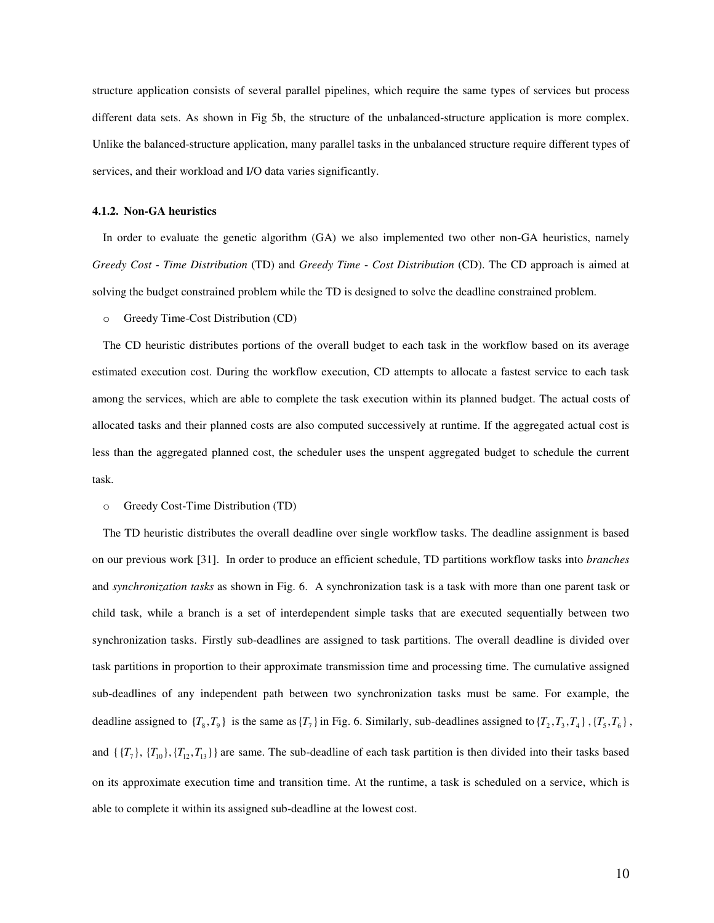structure application consists of several parallel pipelines, which require the same types of services but process different data sets. As shown in Fig 5b, the structure of the unbalanced-structure application is more complex. Unlike the balanced-structure application, many parallel tasks in the unbalanced structure require different types of services, and their workload and I/O data varies significantly.

### **4.1.2. Non-GA heuristics**

In order to evaluate the genetic algorithm (GA) we also implemented two other non-GA heuristics, namely *Greedy Cost* - *Time Distribution* (TD) and *Greedy Time* - *Cost Distribution* (CD). The CD approach is aimed at solving the budget constrained problem while the TD is designed to solve the deadline constrained problem.

o Greedy Time-Cost Distribution (CD)

The CD heuristic distributes portions of the overall budget to each task in the workflow based on its average estimated execution cost. During the workflow execution, CD attempts to allocate a fastest service to each task among the services, which are able to complete the task execution within its planned budget. The actual costs of allocated tasks and their planned costs are also computed successively at runtime. If the aggregated actual cost is less than the aggregated planned cost, the scheduler uses the unspent aggregated budget to schedule the current task.

### o Greedy Cost-Time Distribution (TD)

The TD heuristic distributes the overall deadline over single workflow tasks. The deadline assignment is based on our previous work [31]. In order to produce an efficient schedule, TD partitions workflow tasks into *branches* and *synchronization tasks* as shown in Fig. 6. A synchronization task is a task with more than one parent task or child task, while a branch is a set of interdependent simple tasks that are executed sequentially between two synchronization tasks. Firstly sub-deadlines are assigned to task partitions. The overall deadline is divided over task partitions in proportion to their approximate transmission time and processing time. The cumulative assigned sub-deadlines of any independent path between two synchronization tasks must be same. For example, the deadline assigned to  $\{T_8, T_9\}$  is the same as  $\{T_7\}$  in Fig. 6. Similarly, sub-deadlines assigned to  $\{T_2, T_3, T_4\}$ ,  $\{T_5, T_6\}$ , and  $\{\{T_7\}, \{T_{10}\}, \{T_{12}, T_{13}\}\}\$  are same. The sub-deadline of each task partition is then divided into their tasks based on its approximate execution time and transition time. At the runtime, a task is scheduled on a service, which is able to complete it within its assigned sub-deadline at the lowest cost.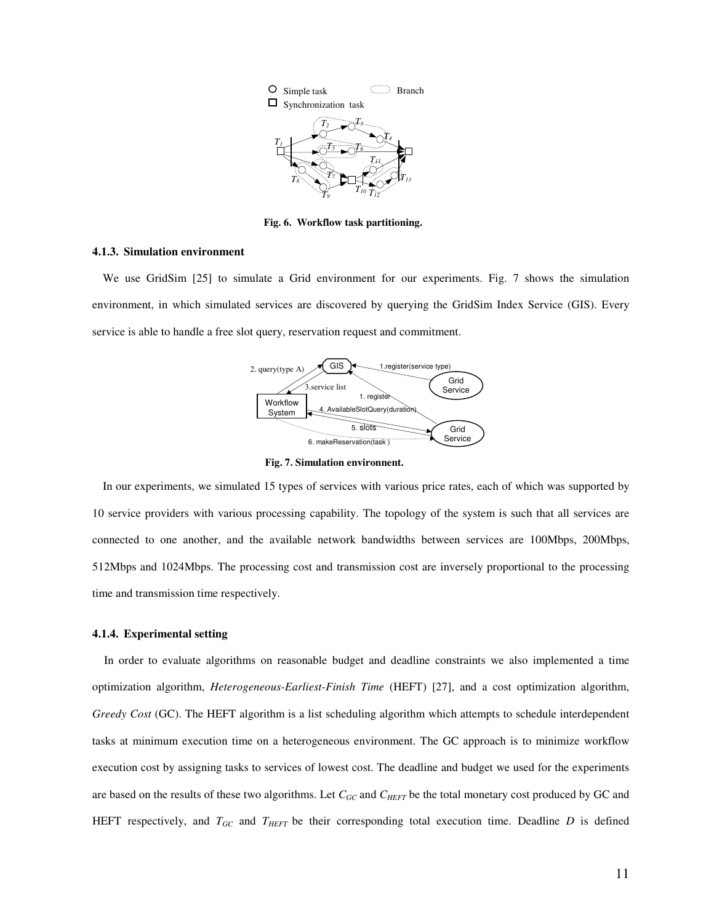

**Fig. 6. Workflow task partitioning.**

#### **4.1.3. Simulation environment**

We use GridSim [25] to simulate a Grid environment for our experiments. Fig. 7 shows the simulation environment, in which simulated services are discovered by querying the GridSim Index Service (GIS). Every service is able to handle a free slot query, reservation request and commitment.



**Fig. 7. Simulation environnent.**

In our experiments, we simulated 15 types of services with various price rates, each of which was supported by 10 service providers with various processing capability. The topology of the system is such that all services are connected to one another, and the available network bandwidths between services are 100Mbps, 200Mbps, 512Mbps and 1024Mbps. The processing cost and transmission cost are inversely proportional to the processing time and transmission time respectively.

# **4.1.4. Experimental setting**

In order to evaluate algorithms on reasonable budget and deadline constraints we also implemented a time optimization algorithm, *Heterogeneous-Earliest-Finish Time* (HEFT) [27], and a cost optimization algorithm, *Greedy Cost* (GC). The HEFT algorithm is a list scheduling algorithm which attempts to schedule interdependent tasks at minimum execution time on a heterogeneous environment. The GC approach is to minimize workflow execution cost by assigning tasks to services of lowest cost. The deadline and budget we used for the experiments are based on the results of these two algorithms. Let *CGC* and *CHEFT* be the total monetary cost produced by GC and HEFT respectively, and *TGC* and *THEFT* be their corresponding total execution time. Deadline *D* is defined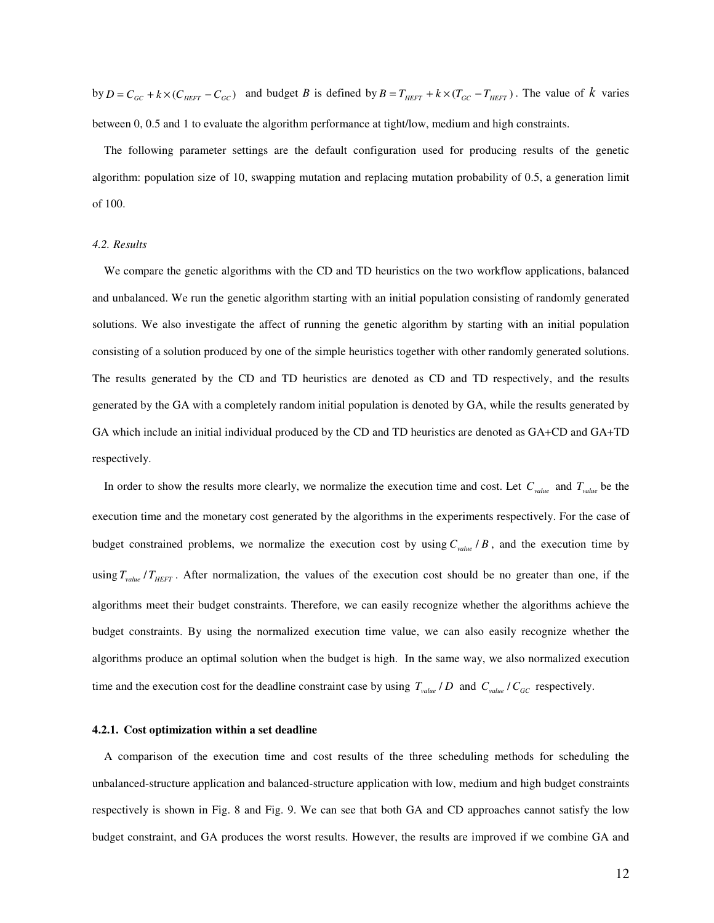by  $D = C_{GC} + k \times (C_{HET} - C_{GC})$  and budget B is defined by  $B = T_{HET} + k \times (T_{GC} - T_{HET})$ . The value of k varies between 0, 0.5 and 1 to evaluate the algorithm performance at tight/low, medium and high constraints.

The following parameter settings are the default configuration used for producing results of the genetic algorithm: population size of 10, swapping mutation and replacing mutation probability of 0.5, a generation limit of 100.

### *4.2. Results*

We compare the genetic algorithms with the CD and TD heuristics on the two workflow applications, balanced and unbalanced. We run the genetic algorithm starting with an initial population consisting of randomly generated solutions. We also investigate the affect of running the genetic algorithm by starting with an initial population consisting of a solution produced by one of the simple heuristics together with other randomly generated solutions. The results generated by the CD and TD heuristics are denoted as CD and TD respectively, and the results generated by the GA with a completely random initial population is denoted by GA, while the results generated by GA which include an initial individual produced by the CD and TD heuristics are denoted as GA+CD and GA+TD respectively.

In order to show the results more clearly, we normalize the execution time and cost. Let  $C_{value}$  and  $T_{value}$  be the execution time and the monetary cost generated by the algorithms in the experiments respectively. For the case of budget constrained problems, we normalize the execution cost by using  $C_{value}/B$ , and the execution time by using *Tvalue THEFT* / . After normalization, the values of the execution cost should be no greater than one, if the algorithms meet their budget constraints. Therefore, we can easily recognize whether the algorithms achieve the budget constraints. By using the normalized execution time value, we can also easily recognize whether the algorithms produce an optimal solution when the budget is high. In the same way, we also normalized execution time and the execution cost for the deadline constraint case by using  $T_{value}/D$  and  $C_{value}/C_{GC}$  respectively.

# **4.2.1. Cost optimization within a set deadline**

A comparison of the execution time and cost results of the three scheduling methods for scheduling the unbalanced-structure application and balanced-structure application with low, medium and high budget constraints respectively is shown in Fig. 8 and Fig. 9. We can see that both GA and CD approaches cannot satisfy the low budget constraint, and GA produces the worst results. However, the results are improved if we combine GA and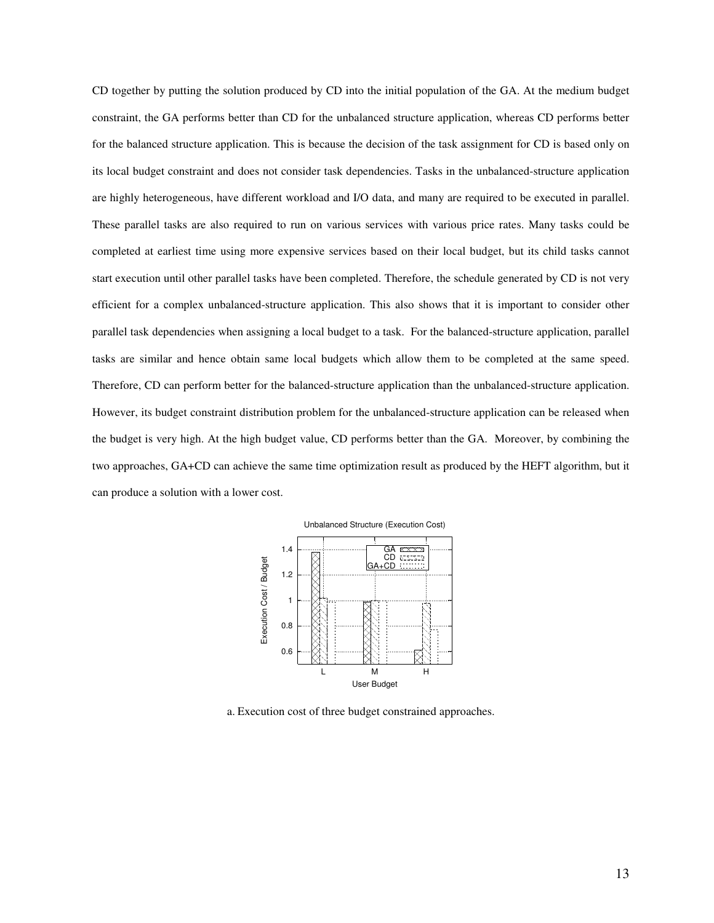CD together by putting the solution produced by CD into the initial population of the GA. At the medium budget constraint, the GA performs better than CD for the unbalanced structure application, whereas CD performs better for the balanced structure application. This is because the decision of the task assignment for CD is based only on its local budget constraint and does not consider task dependencies. Tasks in the unbalanced-structure application are highly heterogeneous, have different workload and I/O data, and many are required to be executed in parallel. These parallel tasks are also required to run on various services with various price rates. Many tasks could be completed at earliest time using more expensive services based on their local budget, but its child tasks cannot start execution until other parallel tasks have been completed. Therefore, the schedule generated by CD is not very efficient for a complex unbalanced-structure application. This also shows that it is important to consider other parallel task dependencies when assigning a local budget to a task. For the balanced-structure application, parallel tasks are similar and hence obtain same local budgets which allow them to be completed at the same speed. Therefore, CD can perform better for the balanced-structure application than the unbalanced-structure application. However, its budget constraint distribution problem for the unbalanced-structure application can be released when the budget is very high. At the high budget value, CD performs better than the GA. Moreover, by combining the two approaches, GA+CD can achieve the same time optimization result as produced by the HEFT algorithm, but it can produce a solution with a lower cost.



a. Execution cost of three budget constrained approaches.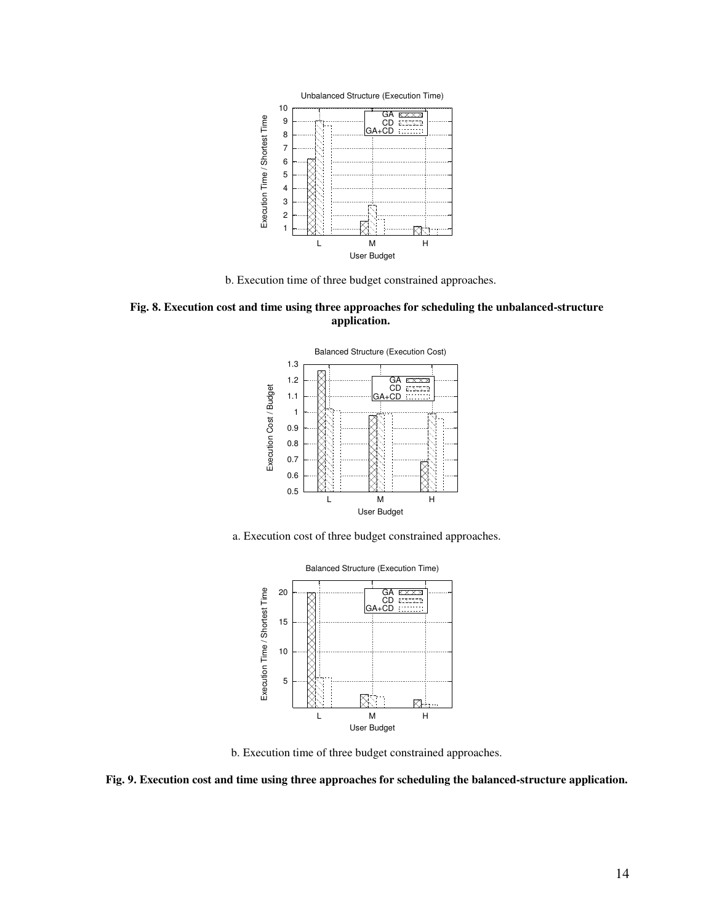

b. Execution time of three budget constrained approaches.









b. Execution time of three budget constrained approaches.

**Fig. 9. Execution cost and time using three approaches for scheduling the balanced-structure application.**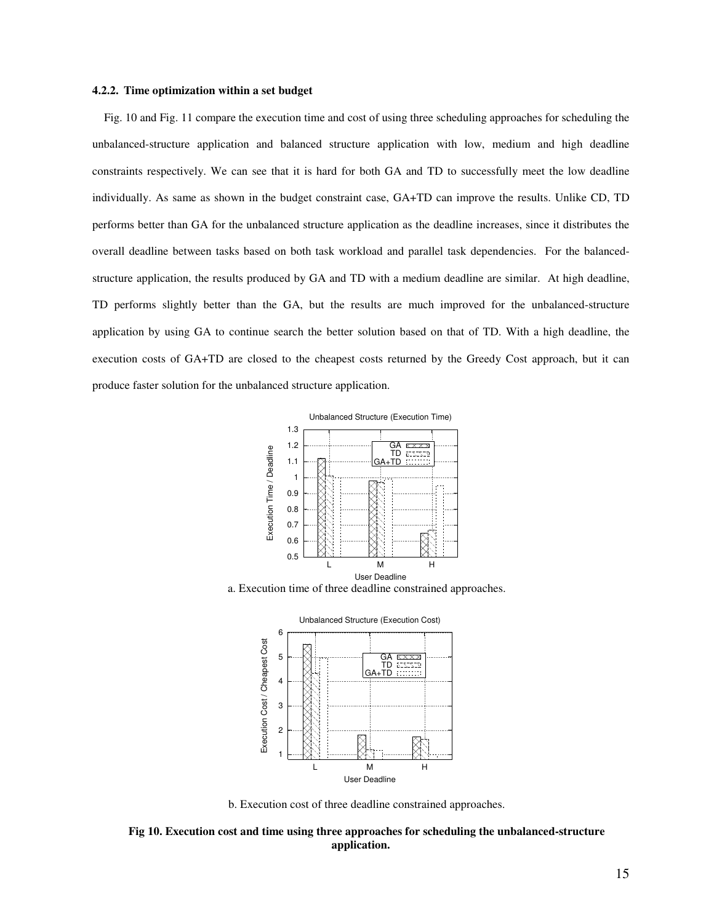#### **4.2.2. Time optimization within a set budget**

Fig. 10 and Fig. 11 compare the execution time and cost of using three scheduling approaches for scheduling the unbalanced-structure application and balanced structure application with low, medium and high deadline constraints respectively. We can see that it is hard for both GA and TD to successfully meet the low deadline individually. As same as shown in the budget constraint case, GA+TD can improve the results. Unlike CD, TD performs better than GA for the unbalanced structure application as the deadline increases, since it distributes the overall deadline between tasks based on both task workload and parallel task dependencies. For the balancedstructure application, the results produced by GA and TD with a medium deadline are similar. At high deadline, TD performs slightly better than the GA, but the results are much improved for the unbalanced-structure application by using GA to continue search the better solution based on that of TD. With a high deadline, the execution costs of GA+TD are closed to the cheapest costs returned by the Greedy Cost approach, but it can produce faster solution for the unbalanced structure application.







b. Execution cost of three deadline constrained approaches.

**Fig 10. Execution cost and time using three approaches for scheduling the unbalanced-structure application.**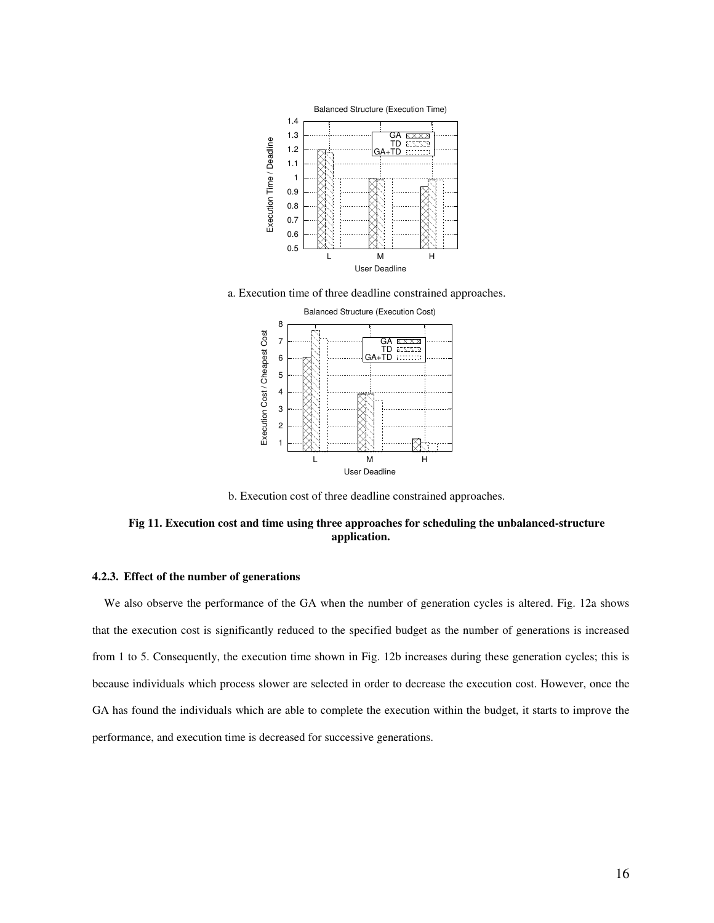

a. Execution time of three deadline constrained approaches.



b. Execution cost of three deadline constrained approaches.

# **Fig 11. Execution cost and time using three approaches for scheduling the unbalanced-structure application.**

# **4.2.3. Effect of the number of generations**

We also observe the performance of the GA when the number of generation cycles is altered. Fig. 12a shows that the execution cost is significantly reduced to the specified budget as the number of generations is increased from 1 to 5. Consequently, the execution time shown in Fig. 12b increases during these generation cycles; this is because individuals which process slower are selected in order to decrease the execution cost. However, once the GA has found the individuals which are able to complete the execution within the budget, it starts to improve the performance, and execution time is decreased for successive generations.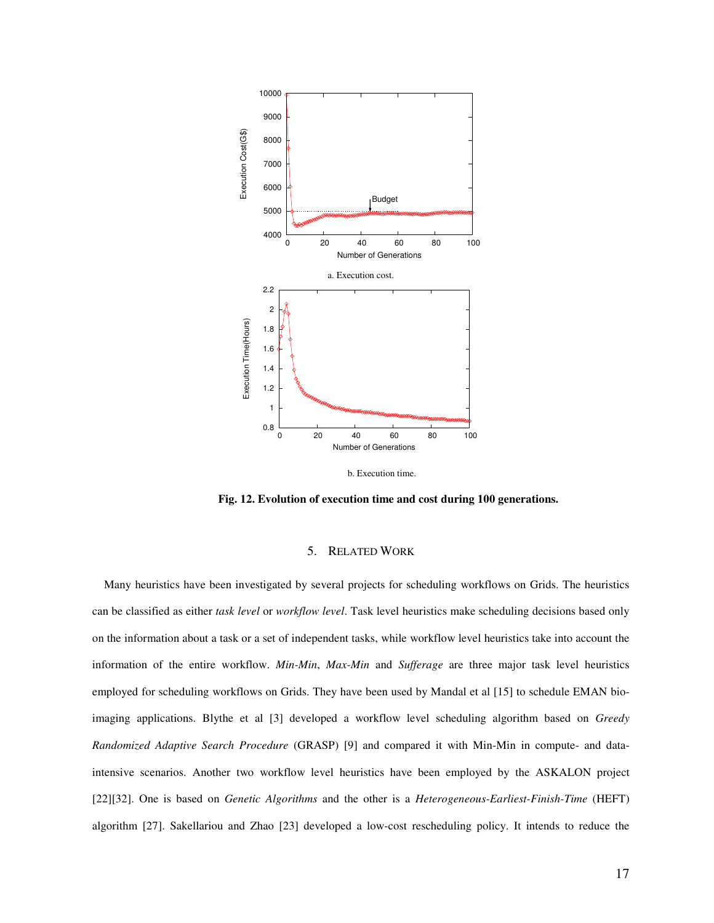

**Fig. 12. Evolution of execution time and cost during 100 generations.**

### 5. RELATED WORK

Many heuristics have been investigated by several projects for scheduling workflows on Grids. The heuristics can be classified as either *task level* or *workflow level*. Task level heuristics make scheduling decisions based only on the information about a task or a set of independent tasks, while workflow level heuristics take into account the information of the entire workflow. *Min-Min*, *Max-Min* and *Sufferage* are three major task level heuristics employed for scheduling workflows on Grids. They have been used by Mandal et al [15] to schedule EMAN bioimaging applications. Blythe et al [3] developed a workflow level scheduling algorithm based on *Greedy Randomized Adaptive Search Procedure* (GRASP) [9] and compared it with Min-Min in compute- and dataintensive scenarios. Another two workflow level heuristics have been employed by the ASKALON project [22][32]. One is based on *Genetic Algorithms* and the other is a *Heterogeneous-Earliest-Finish-Time* (HEFT) algorithm [27]. Sakellariou and Zhao [23] developed a low-cost rescheduling policy. It intends to reduce the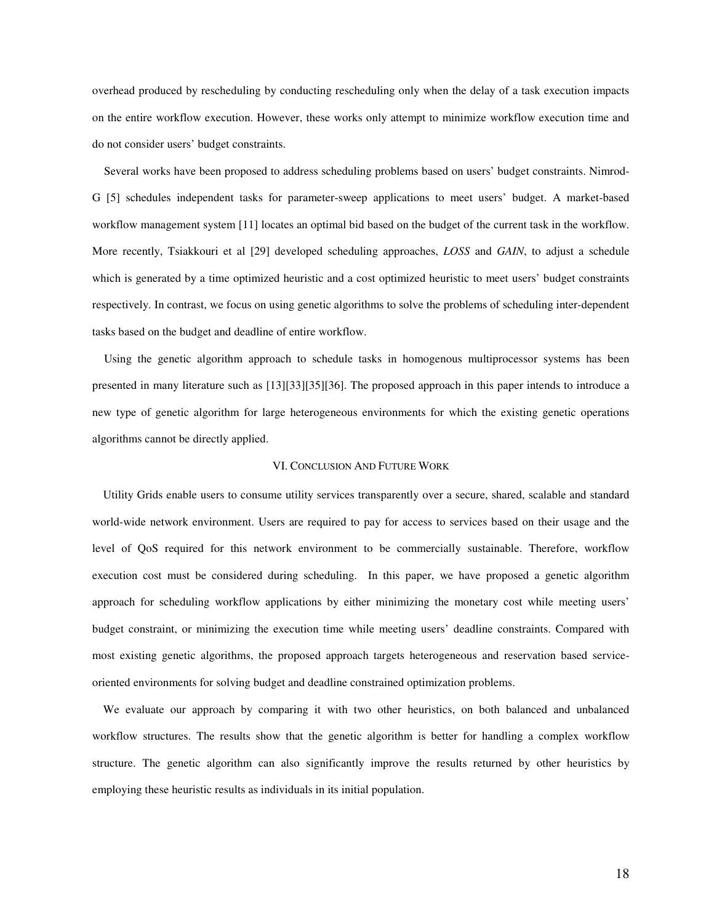overhead produced by rescheduling by conducting rescheduling only when the delay of a task execution impacts on the entire workflow execution. However, these works only attempt to minimize workflow execution time and do not consider users' budget constraints.

Several works have been proposed to address scheduling problems based on users' budget constraints. Nimrod-G [5] schedules independent tasks for parameter-sweep applications to meet users' budget. A market-based workflow management system [11] locates an optimal bid based on the budget of the current task in the workflow. More recently, Tsiakkouri et al [29] developed scheduling approaches, *LOSS* and *GAIN*, to adjust a schedule which is generated by a time optimized heuristic and a cost optimized heuristic to meet users' budget constraints respectively. In contrast, we focus on using genetic algorithms to solve the problems of scheduling inter-dependent tasks based on the budget and deadline of entire workflow.

Using the genetic algorithm approach to schedule tasks in homogenous multiprocessor systems has been presented in many literature such as [13][33][35][36]. The proposed approach in this paper intends to introduce a new type of genetic algorithm for large heterogeneous environments for which the existing genetic operations algorithms cannot be directly applied.

### VI. CONCLUSION AND FUTURE WORK

Utility Grids enable users to consume utility services transparently over a secure, shared, scalable and standard world-wide network environment. Users are required to pay for access to services based on their usage and the level of QoS required for this network environment to be commercially sustainable. Therefore, workflow execution cost must be considered during scheduling. In this paper, we have proposed a genetic algorithm approach for scheduling workflow applications by either minimizing the monetary cost while meeting users' budget constraint, or minimizing the execution time while meeting users' deadline constraints. Compared with most existing genetic algorithms, the proposed approach targets heterogeneous and reservation based serviceoriented environments for solving budget and deadline constrained optimization problems.

We evaluate our approach by comparing it with two other heuristics, on both balanced and unbalanced workflow structures. The results show that the genetic algorithm is better for handling a complex workflow structure. The genetic algorithm can also significantly improve the results returned by other heuristics by employing these heuristic results as individuals in its initial population.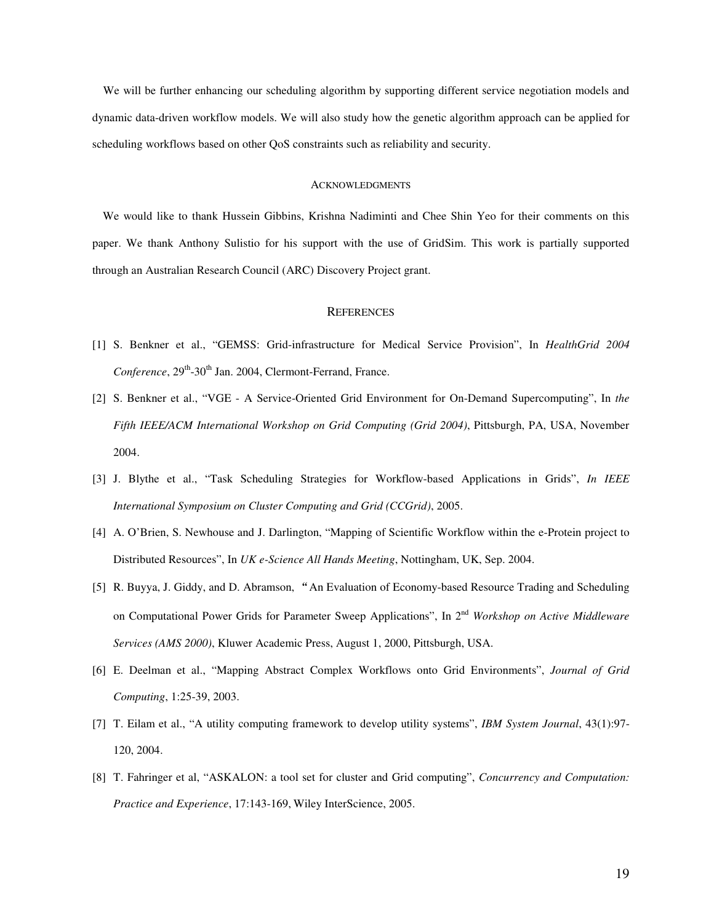We will be further enhancing our scheduling algorithm by supporting different service negotiation models and dynamic data-driven workflow models. We will also study how the genetic algorithm approach can be applied for scheduling workflows based on other QoS constraints such as reliability and security.

### **ACKNOWLEDGMENTS**

We would like to thank Hussein Gibbins, Krishna Nadiminti and Chee Shin Yeo for their comments on this paper. We thank Anthony Sulistio for his support with the use of GridSim. This work is partially supported through an Australian Research Council (ARC) Discovery Project grant.

#### **REFERENCES**

- [1] S. Benkner et al., "GEMSS: Grid-infrastructure for Medical Service Provision", In *HealthGrid 2004* Conference, 29<sup>th</sup>-30<sup>th</sup> Jan. 2004, Clermont-Ferrand, France.
- [2] S. Benkner et al., "VGE A Service-Oriented Grid Environment for On-Demand Supercomputing", In *the Fifth IEEE/ACM International Workshop on Grid Computing (Grid 2004)*, Pittsburgh, PA, USA, November 2004.
- [3] J. Blythe et al., "Task Scheduling Strategies for Workflow-based Applications in Grids", *In IEEE International Symposium on Cluster Computing and Grid (CCGrid)*, 2005.
- [4] A. O'Brien, S. Newhouse and J. Darlington, "Mapping of Scientific Workflow within the e-Protein project to Distributed Resources", In *UK e-Science All Hands Meeting*, Nottingham, UK, Sep. 2004.
- [5] R. Buyya, J. Giddy, and D. Abramson, An Evaluation of Economy-based Resource Trading and Scheduling on Computational Power Grids for Parameter Sweep Applications", In 2 nd *Workshop on Active Middleware Services (AMS 2000)*, Kluwer Academic Press, August 1, 2000, Pittsburgh, USA.
- [6] E. Deelman et al., "Mapping Abstract Complex Workflows onto Grid Environments", *Journal of Grid Computing*, 1:25-39, 2003.
- [7] T. Eilam et al., "A utility computing framework to develop utility systems", *IBM System Journal*, 43(1):97- 120, 2004.
- [8] T. Fahringer et al, "ASKALON: a tool set for cluster and Grid computing", *Concurrency and Computation: Practice and Experience*, 17:143-169, Wiley InterScience, 2005.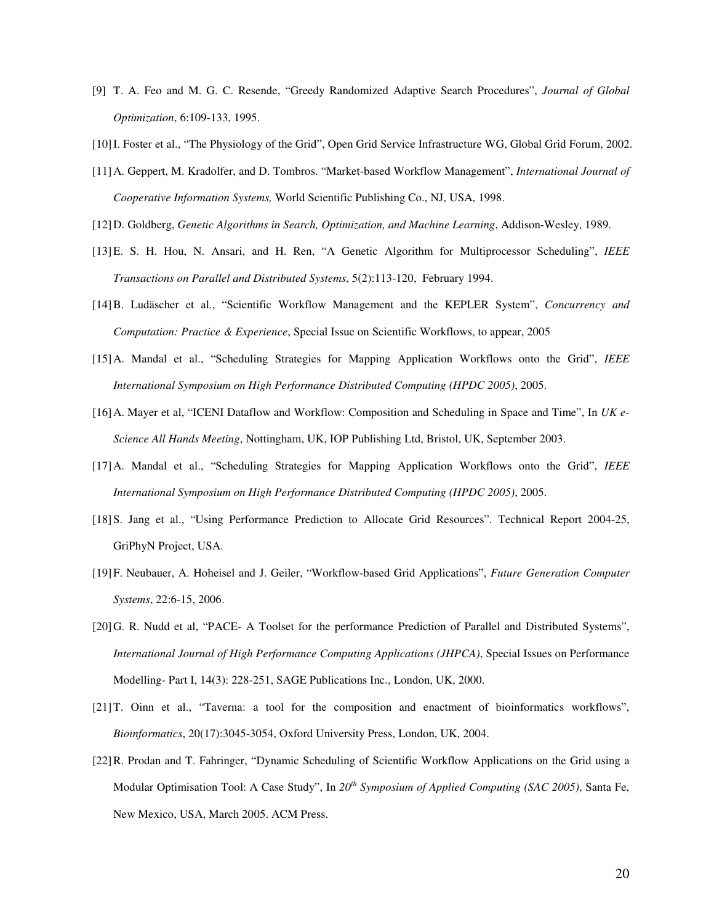- [9] T. A. Feo and M. G. C. Resende, "Greedy Randomized Adaptive Search Procedures", *Journal of Global Optimization*, 6:109-133, 1995.
- [10]I. Foster et al., "The Physiology of the Grid", Open Grid Service Infrastructure WG, Global Grid Forum, 2002.
- [11]A. Geppert, M. Kradolfer, and D. Tombros. "Market-based Workflow Management", *International Journal of Cooperative Information Systems,* World Scientific Publishing Co., NJ, USA, 1998.
- [12]D. Goldberg, *Genetic Algorithms in Search, Optimization, and Machine Learning*, Addison-Wesley, 1989.
- [13]E. S. H. Hou, N. Ansari, and H. Ren, "A Genetic Algorithm for Multiprocessor Scheduling", *IEEE Transactions on Parallel and Distributed Systems*, 5(2):113-120, February 1994.
- [14]B. Ludäscher et al., "Scientific Workflow Management and the KEPLER System", *Concurrency and Computation: Practice & Experience*, Special Issue on Scientific Workflows, to appear, 2005
- [15]A. Mandal et al., "Scheduling Strategies for Mapping Application Workflows onto the Grid", *IEEE International Symposium on High Performance Distributed Computing (HPDC 2005)*, 2005.
- [16]A. Mayer et al, "ICENI Dataflow and Workflow: Composition and Scheduling in Space and Time", In *UK e-Science All Hands Meeting*, Nottingham, UK, IOP Publishing Ltd, Bristol, UK, September 2003.
- [17]A. Mandal et al., "Scheduling Strategies for Mapping Application Workflows onto the Grid", *IEEE International Symposium on High Performance Distributed Computing (HPDC 2005)*, 2005.
- [18]S. Jang et al., "Using Performance Prediction to Allocate Grid Resources". Technical Report 2004-25, GriPhyN Project, USA.
- [19]F. Neubauer, A. Hoheisel and J. Geiler, "Workflow-based Grid Applications", *Future Generation Computer Systems*, 22:6-15, 2006.
- [20]G. R. Nudd et al, "PACE- A Toolset for the performance Prediction of Parallel and Distributed Systems", *International Journal of High Performance Computing Applications (JHPCA)*, Special Issues on Performance Modelling- Part I, 14(3): 228-251, SAGE Publications Inc., London, UK, 2000.
- [21]T. Oinn et al., "Taverna: a tool for the composition and enactment of bioinformatics workflows", *Bioinformatics*, 20(17):3045-3054, Oxford University Press, London, UK, 2004.
- [22]R. Prodan and T. Fahringer, "Dynamic Scheduling of Scientific Workflow Applications on the Grid using a Modular Optimisation Tool: A Case Study", In 20<sup>th</sup> Symposium of Applied Computing (SAC 2005), Santa Fe, New Mexico, USA, March 2005. ACM Press.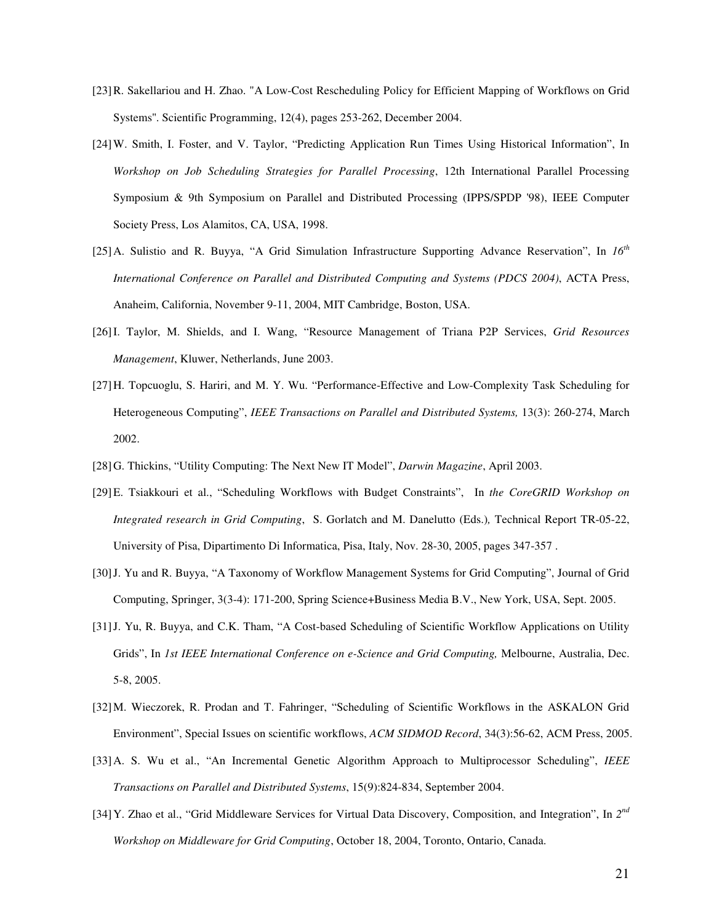- [23]R. Sakellariou and H. Zhao. "A Low-Cost Rescheduling Policy for Efficient Mapping of Workflows on Grid Systems''. Scientific Programming, 12(4), pages 253-262, December 2004.
- [24]W. Smith, I. Foster, and V. Taylor, "Predicting Application Run Times Using Historical Information", In *Workshop on Job Scheduling Strategies for Parallel Processing*, 12th International Parallel Processing Symposium & 9th Symposium on Parallel and Distributed Processing (IPPS/SPDP '98), IEEE Computer Society Press, Los Alamitos, CA, USA, 1998.
- [25]A. Sulistio and R. Buyya, "A Grid Simulation Infrastructure Supporting Advance Reservation", In *16 th International Conference on Parallel and Distributed Computing and Systems (PDCS 2004)*, ACTA Press, Anaheim, California, November 9-11, 2004, MIT Cambridge, Boston, USA.
- [26]I. Taylor, M. Shields, and I. Wang, "Resource Management of Triana P2P Services, *Grid Resources Management*, Kluwer, Netherlands, June 2003.
- [27]H. Topcuoglu, S. Hariri, and M. Y. Wu. "Performance-Effective and Low-Complexity Task Scheduling for Heterogeneous Computing", *IEEE Transactions on Parallel and Distributed Systems,* 13(3): 260-274, March 2002.
- [28]G. Thickins, "Utility Computing: The Next New IT Model", *Darwin Magazine*, April 2003.
- [29]E. Tsiakkouri et al., "Scheduling Workflows with Budget Constraints", In *the CoreGRID Workshop on Integrated research in Grid Computing*, S. Gorlatch and M. Danelutto (Eds.)*,* Technical Report TR-05-22, University of Pisa, Dipartimento Di Informatica, Pisa, Italy, Nov. 28-30, 2005, pages 347-357 .
- [30]J. Yu and R. Buyya, "A Taxonomy of Workflow Management Systems for Grid Computing", Journal of Grid Computing, Springer, 3(3-4): 171-200, Spring Science+Business Media B.V., New York, USA, Sept. 2005.
- [31]J. Yu, R. Buyya, and C.K. Tham, "A Cost-based Scheduling of Scientific Workflow Applications on Utility Grids", In *1st IEEE International Conference on e-Science and Grid Computing,* Melbourne, Australia, Dec. 5-8, 2005.
- [32]M. Wieczorek, R. Prodan and T. Fahringer, "Scheduling of Scientific Workflows in the ASKALON Grid Environment", Special Issues on scientific workflows, *ACM SIDMOD Record*, 34(3):56-62, ACM Press, 2005.
- [33]A. S. Wu et al., "An Incremental Genetic Algorithm Approach to Multiprocessor Scheduling", *IEEE Transactions on Parallel and Distributed Systems*, 15(9):824-834, September 2004.
- [34] Y. Zhao et al., "Grid Middleware Services for Virtual Data Discovery, Composition, and Integration", In 2<sup>nd</sup> *Workshop on Middleware for Grid Computing*, October 18, 2004, Toronto, Ontario, Canada.